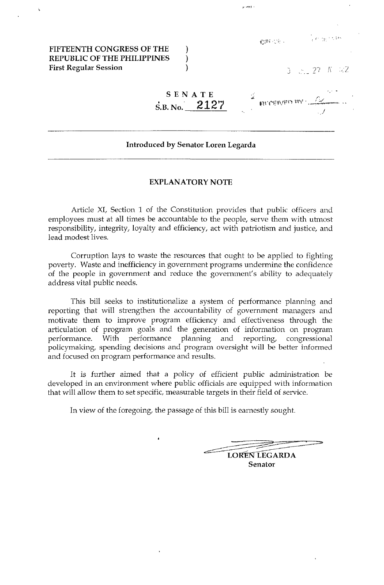FIFTEENTH CONGRESS OF THE REPUBLIC OF THE PHILIPPINES First Regular Session

| $\sqrt{\mathbb{Z}^2}$ |  |
|-----------------------|--|
|                       |  |

T = 27 N 22

• I' 'J' ' ' '

| SENATE                           |                                 |  |
|----------------------------------|---------------------------------|--|
| $\dot{\rm s}_{.B.~\rm No.}$ 2127 | <b>NICEIVED BY LA COMMUNITY</b> |  |
|                                  |                                 |  |

 $\sim$  and  $\sim$ 

### Introduced by Senator Loren Legarda

) ) )

### EXPLANATORY NOTE

Article XI, Section 1 of the Constitution provides that public officers and employees must at all times be accountable to the people, serve them with utmost responsibility, integrity, loyalty and efficiency, act with patriotism and justice, and lead modest lives.

Corruption lays to waste the resources that ought to be applied to fighting poverty. Waste and inefficiency in government programs undermine the confidence of the people in government and reduce the government's ability to adequately address vital public needs.

This bill seeks to institutionalize a system of performance planning and reporting that will strengthen the accountability of government managers and motivate them to improve program efficiency and effectiveness through the articulation of program goals and the generation of information on program performance. With performance planning and reporting, congressional policymaking, spending decisions and program oversight will be better informed and focused on program performance and results.

It is further aimed that a policy of efficient public administration be developed in an environment where public officials are equipped with information that will allow them to set specific, measurable targets in their field of service.

In view of the foregoing, the passage of this bill is earnestly sought.

this bill is earnestly sought.

Senator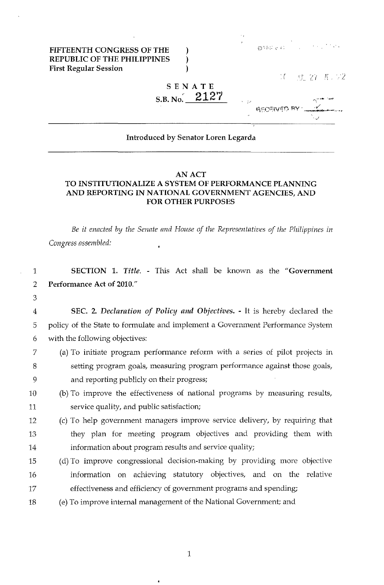FIFTEENTH CONGRESS OF THE REPUBLIC OF THE PHILIPPINES First Regular Session

| 初生 にゅくに |  | and the process |  | 医细胞质质 经纪 |  |
|---------|--|-----------------|--|----------|--|

 $\mathcal{M}$ **雪 27 K 72** 

# SENATE  $_{\rm S.B.~No.}$  2127

) ) )

# **ASCEIVED BY** ~-..... -, .. " ..

## Introduced by Senator Loren Legarda

## AN ACT TO INSTITUTIONALIZE A SYSTEM OF PERFORMANCE PLANNING AND REPORTING IN NATIONAL GOVERNMENT AGENCIES, AND FOR OTHER PURPOSES

*Be it enacted* by *the Senate and House of the Representatives of the Philippines in Congress nssembled:*   $\ddot{\phantom{0}}$ 

| $\mathbf{1}$   | SECTION 1. Title. - This Act shall be known as the "Government                 |
|----------------|--------------------------------------------------------------------------------|
| 2              | Performance Act of 2010."                                                      |
| 3              |                                                                                |
| $\overline{4}$ | SEC. 2. Declaration of Policy and Objectives. - It is hereby declared the      |
| 5              | policy of the State to formulate and implement a Government Performance System |
| 6              | with the following objectives:                                                 |
| 7              | (a) To initiate program performance reform with a series of pilot projects in  |
| 8              | setting program goals, measuring program performance against those goals,      |
| 9              | and reporting publicly on their progress;                                      |
| 10             | (b) To improve the effectiveness of national programs by measuring results,    |
| 11             | service quality, and public satisfaction;                                      |
| 12             | (c) To help government managers improve service delivery, by requiring that    |
| 13             | they plan for meeting program objectives and providing them with               |
| 14             | information about program results and service quality;                         |
| 15             | (d) To improve congressional decision-making by providing more objective       |
| 16             | information on achieving statutory objectives, and on the relative             |
| 17             | effectiveness and efficiency of government programs and spending;              |
| 18             | (e) To improve internal management of the National Government; and             |
|                |                                                                                |
|                |                                                                                |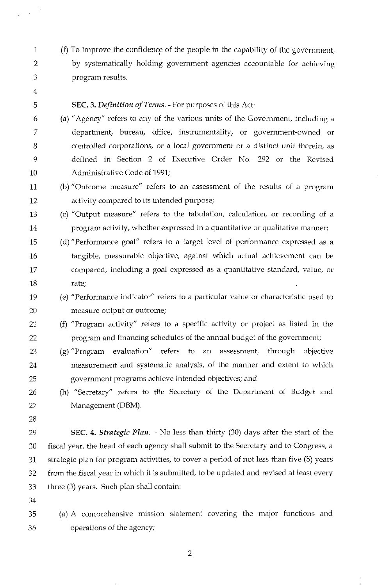- 1 (f) To improve the confidence of the people in the capability of the government, 2 by systematically holding government agencies accountable for achieving 3 program results.
- 4

## 5 SEC. 3. *Definition of Terms.* - For purposes of this Act:

- 6 (a) "Agency" refers to any of the various units of the Government, including a 7 department, bureau, office, instrumentality, or government-owned or 8 controlled corporations, or a local government or a distinct unit therein, as 9 defined in Section 2 of Executive Order No. 292 or the Revised 10 Administrative Code of 1991;
- 11 (b) "Outcome measure" refers to an assessment of the results of a program 12 activity compared to its intended purpose;
- 13 (c) "Output measure" refers to the tabulation, calculation, or recording of a 14 program activity, whether expressed in a quantitative or qualitative manner;
- 15 (d) "Performance goal" refers to a target level of performance expressed as a 16 tangible, measurable objective, against which actual achievement can be 17 compared, including a goal expressed as a quantitative standard, value, or 18 rate;
- 19 (e) "Performance indicator" refers to a particular value or characteristic used to 20 measure output or outcome;
- 21 (f) "Program activity" refers to a specific activity or project as listed in the 22 program and financing schedules of the annual budget of the government;
- 23 (g) "Program evaluation" refers to an assessment, through objective 24 measurement and systematic analysis, of the manner and extent to which 25 government programs achieve intended objectives; and
- 26 (h) "Secretary" refers to the Secretary of the Department of Budget and 27 Management (DBM).
- 28

29 SEC. 4. *Strategic Plan.* - No less than thirty (30) days after the start of the 30 fiscal year, the head of each agency shall submit to the Secretary and to Congress, a 31 strategic plan for program activities, to cover a period of not less than five (5) years 32 from the fiscal year in which it is submitted, to be updated and revised at least every 33 three (3) years. Such plan shall contain:

- 34
- 35 (a) A comprehensive mission statement covenng the major functions and 36 operations of the agency;

2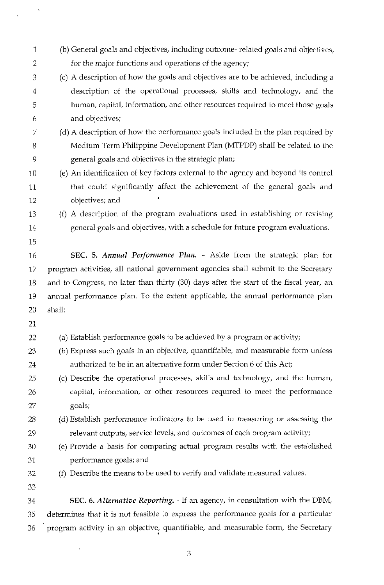| $\mathbf{1}$   | (b) General goals and objectives, including outcome-related goals and objectives,      |
|----------------|----------------------------------------------------------------------------------------|
| $\overline{2}$ | for the major functions and operations of the agency;                                  |
| 3              | (c) A description of how the goals and objectives are to be achieved, including a      |
| 4              | description of the operational processes, skills and technology, and the               |
| 5              | human, capital, information, and other resources required to meet those goals          |
| 6              | and objectives;                                                                        |
| 7              | (d) A description of how the performance goals included in the plan required by        |
| 8              | Medium Term Philippine Development Plan (MTPDP) shall be related to the                |
| 9              | general goals and objectives in the strategic plan;                                    |
| 10             | (e) An identification of key factors external to the agency and beyond its control     |
| 11             | that could significantly affect the achievement of the general goals and               |
| 12             | objectives; and                                                                        |
| 13             | (f) A description of the program evaluations used in establishing or revising          |
| 14             | general goals and objectives, with a schedule for future program evaluations.          |
| 15             |                                                                                        |
| 16             | SEC. 5. Annual Performance Plan. - Aside from the strategic plan for                   |
| 17             | program activities, all national government agencies shall submit to the Secretary     |
| 18             | and to Congress, no later than thirty (30) days after the start of the fiscal year, an |
| 19             | annual performance plan. To the extent applicable, the annual performance plan         |
| 20             | shall:                                                                                 |
| 21             |                                                                                        |
| 22             | (a) Establish performance goals to be achieved by a program or activity;               |
| 23             | (b) Express such goals in an objective, quantifiable, and measurable form unless       |
| 24             | authorized to be in an alternative form under Section 6 of this Act;                   |
| 25             | (c) Describe the operational processes, skills and technology, and the human,          |
| 26             | capital, information, or other resources required to meet the performance              |
| 27             | goals;                                                                                 |
| 28             | (d) Establish performance indicators to be used in measuring or assessing the          |
| 29             | relevant outputs, service levels, and outcomes of each program activity;               |
| 30             | (e) Provide a basis for comparing actual program results with the established          |
| 31             | performance goals; and                                                                 |
| 32             | (f) Describe the means to be used to verify and validate measured values.              |
| 33             |                                                                                        |
| 34             | SEC. 6. Alternative Reporting. - If an agency, in consultation with the DBM,           |
| 35             | determines that it is not feasible to express the performance goals for a particular   |
| 36             | program activity in an objective, quantifiable, and measurable form, the Secretary     |

 $\label{eq:3.1} \frac{1}{\sqrt{2\pi}}\left(\frac{1}{\sqrt{2\pi}}\right)^{1/2}$ 

3

•

 $\sim 0.5$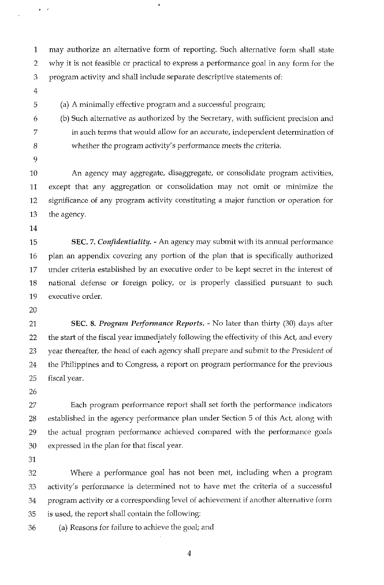1 may authorize an alternative form of reporting. Such alternative form shall state 2 why it is not feasible or practical to express a performance goal in any form for the 3 program activity and shall include separate descriptive statements of:

4

 $\ddot{\phantom{0}}$ 

5 (a) A minimally effective program and a successful program;

 $\pmb{\ast}$ 

- 6 (b) Such alternative as authorized by the Secretary, with sufficient precision and 7 in such terms that would allow for an accurate, independent determination of 8 whether the program activity's performance *meets* the criteria.
- 9

10 An agency may aggregate, disaggregate, or consolidate program activities, 11 except that any aggregation or consolidation may not omit or minimize the 12 significance of any program activity constituting a major function or operation for 13 the agency.

14

15 SEC. 7. *Confidentiality.* - An agency may submit with its annual performance 16 plan an appendix covering any portion of the plan that is specifically authorized 17 under criteria established by an executive order to be kept secret in the interest of 18 national defense or foreign policy, or is properly classified pursuant to such 19 executive order.

20

21 SEC. 8. *Program Performance Reports.* - No later than thirty (30) days after 22 the start of the fiscal year immediately following the effectivity of this Act, and every 23 year thereafter, the head of each agency shall prepare and submit to the President of 24 the Philippines and to Congress, a report on program performance for the previous 25 fiscal year.

26

27 Each program performance report shall set forth the performance indicators 28 established in the agency performance plan under Section 5 of this Act, along with 29 the actual program performance achieved compared with the performance goals 30 expressed in the plan for that fiscal year.

31

32 Where a performance goal has not been met, including when a program 33 activity's performance is determined not to have met the criteria of a successful 34 program activity or a corresponding level of achievement if another alternative form 35 is used, the report shall contain the following:

36 (a) Reasons for failure to achieve the goal; and

4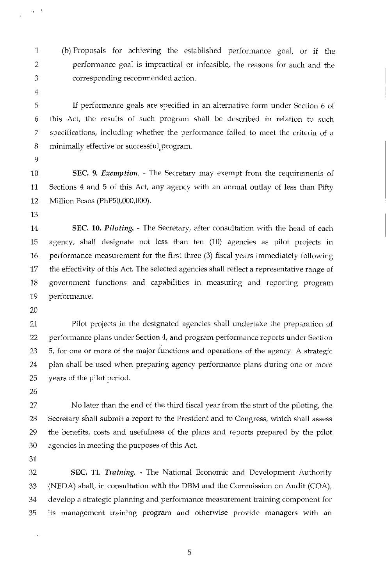- 1 (b) Proposals for achieving the established performance goal, or if the 2 performance goal is impractical or infeasible, the reasons for such and the 3 corresponding recommended action.
- 4

 $\frac{1}{4}$  ,  $\frac{1}{2}$ 

5 If performance goals are specified in an alternative form under Section 6 of 6 this Act, the results of such program shall be described in relation to such 7 specifications, including whether the performance failed to meet the criteria of a 8 minimally effective or successful program.

9

10 SEC. 9. *Exemption.* - The Secretary may exempt from the requirements of 11 Sections 4 and 5 of this Act, any agency with an annual outlay of less than Fifty 12 Million Pesos (PhP50,000,000).

13

14 SEC. 10. *Piloting.* - The Secretary, after consultation with the head of each 15 agency, shall designate not less than ten (10) agencies as pilot projects in 16 performance measurement for the first three (3) fiscal years immediately following 17 the effectivity of this Act. The selected agencies shall reflect a representative range of 18 government functions and capabilities in measuring and reporting program 19 performance.

20

21 Pilot projects in the designated agencies shall undertake the preparation of 22 performance plans under Section 4, and program performance reports under Section 23 5, for one or more of the major functions and operations of the agency. A strategic 24 plan shall be used when preparing agency performance plans during one or more 25 years of the pilot period.

26

27 No later than the end of the third fiscal year from the start of the piloting, the 28 Secretary shall submit a report to the President and to Congress, which shall assess 29 the benefits, costs and usefulness of the plans and reports prepared by the pilot 30 agencies in meeting the purposes of this Act.

31

32 SEC. 11. *Training.* - The National Economic and Development Authority 33 (NEDA) shall, in consultation with the DBM and the Commission on Audit (COA), 34 develop a strategic planning and performance measurement training component for 35 its management training program and otherwise provide managers with an

5